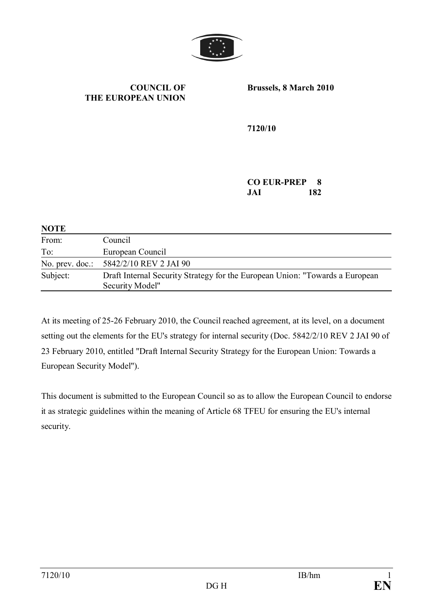

#### **COUNCIL OF THE EUROPEAN UNION**

**Brussels, 8 March 2010**

**7120/10**

#### **CO EUR-PREP 8 JAI 182**

| <b>NOTE</b>     |                                                                                                 |
|-----------------|-------------------------------------------------------------------------------------------------|
| From:           | Council                                                                                         |
| To:             | European Council                                                                                |
| No. prev. doc.: | 5842/2/10 REV 2 JAI 90                                                                          |
| Subject:        | Draft Internal Security Strategy for the European Union: "Towards a European<br>Security Model" |

At its meeting of 25-26 February 2010, the Council reached agreement, at its level, on a document setting out the elements for the EU's strategy for internal security (Doc. 5842/2/10 REV 2 JAI 90 of 23 February 2010, entitled "Draft Internal Security Strategy for the European Union: Towards a European Security Model").

This document is submitted to the European Council so as to allow the European Council to endorse it as strategic guidelines within the meaning of Article 68 TFEU for ensuring the EU's internal security.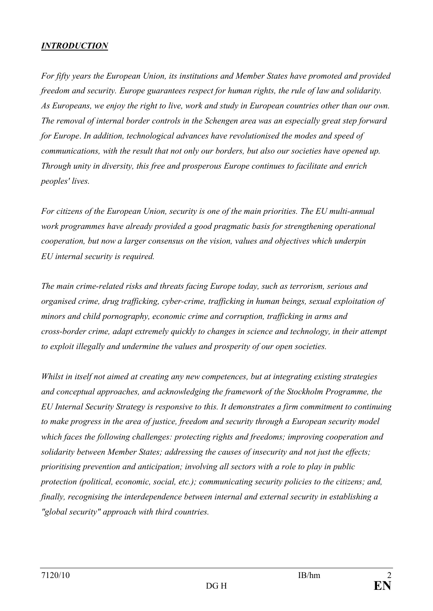### *INTRODUCTION*

*For fifty years the European Union, its institutions and Member States have promoted and provided freedom and security. Europe guarantees respect for human rights, the rule of law and solidarity. As Europeans, we enjoy the right to live, work and study in European countries other than our own. The removal of internal border controls in the Schengen area was an especially great step forward for Europe*. *In addition, technological advances have revolutionised the modes and speed of communications, with the result that not only our borders, but also our societies have opened up. Through unity in diversity, this free and prosperous Europe continues to facilitate and enrich peoples' lives.*

*For citizens of the European Union, security is one of the main priorities. The EU multi-annual work programmes have already provided a good pragmatic basis for strengthening operational cooperation, but now a larger consensus on the vision, values and objectives which underpin EU internal security is required.* 

*The main crime-related risks and threats facing Europe today, such as terrorism, serious and organised crime, drug trafficking, cyber-crime, trafficking in human beings, sexual exploitation of minors and child pornography, economic crime and corruption, trafficking in arms and cross-border crime, adapt extremely quickly to changes in science and technology, in their attempt to exploit illegally and undermine the values and prosperity of our open societies.* 

*Whilst in itself not aimed at creating any new competences, but at integrating existing strategies and conceptual approaches, and acknowledging the framework of the Stockholm Programme, the EU Internal Security Strategy is responsive to this. It demonstrates a firm commitment to continuing to make progress in the area of justice, freedom and security through a European security model which faces the following challenges: protecting rights and freedoms; improving cooperation and solidarity between Member States; addressing the causes of insecurity and not just the effects; prioritising prevention and anticipation; involving all sectors with a role to play in public protection (political, economic, social, etc.); communicating security policies to the citizens; and, finally, recognising the interdependence between internal and external security in establishing a "global security" approach with third countries.*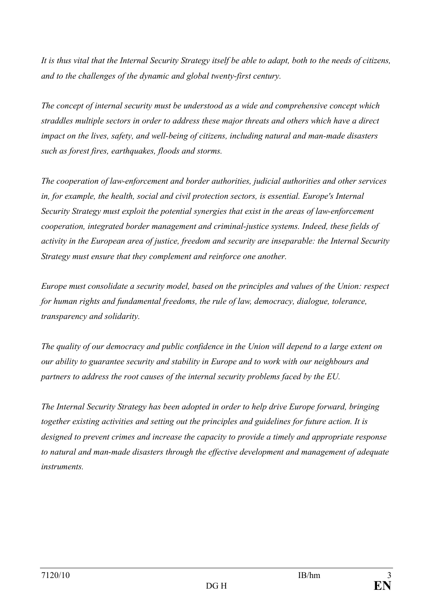*It is thus vital that the Internal Security Strategy itself be able to adapt, both to the needs of citizens, and to the challenges of the dynamic and global twenty-first century.*

*The concept of internal security must be understood as a wide and comprehensive concept which straddles multiple sectors in order to address these major threats and others which have a direct impact on the lives, safety, and well-being of citizens, including natural and man-made disasters such as forest fires, earthquakes, floods and storms.* 

*The cooperation of law-enforcement and border authorities, judicial authorities and other services in, for example, the health, social and civil protection sectors, is essential. Europe's Internal Security Strategy must exploit the potential synergies that exist in the areas of law-enforcement cooperation, integrated border management and criminal-justice systems. Indeed, these fields of activity in the European area of justice, freedom and security are inseparable: the Internal Security Strategy must ensure that they complement and reinforce one another.*

*Europe must consolidate a security model, based on the principles and values of the Union: respect for human rights and fundamental freedoms, the rule of law, democracy, dialogue, tolerance, transparency and solidarity.*

*The quality of our democracy and public confidence in the Union will depend to a large extent on our ability to guarantee security and stability in Europe and to work with our neighbours and partners to address the root causes of the internal security problems faced by the EU.* 

*The Internal Security Strategy has been adopted in order to help drive Europe forward, bringing together existing activities and setting out the principles and guidelines for future action. It is designed to prevent crimes and increase the capacity to provide a timely and appropriate response to natural and man-made disasters through the effective development and management of adequate instruments.*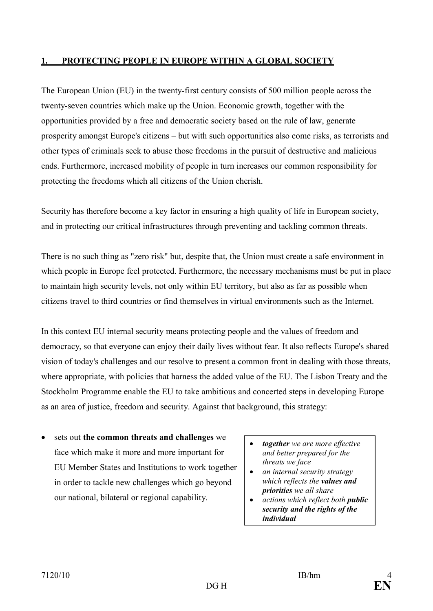#### **1. PROTECTING PEOPLE IN EUROPE WITHIN A GLOBAL SOCIETY**

The European Union (EU) in the twenty-first century consists of 500 million people across the twenty-seven countries which make up the Union. Economic growth, together with the opportunities provided by a free and democratic society based on the rule of law, generate prosperity amongst Europe's citizens – but with such opportunities also come risks, as terrorists and other types of criminals seek to abuse those freedoms in the pursuit of destructive and malicious ends. Furthermore, increased mobility of people in turn increases our common responsibility for protecting the freedoms which all citizens of the Union cherish.

Security has therefore become a key factor in ensuring a high quality of life in European society, and in protecting our critical infrastructures through preventing and tackling common threats.

There is no such thing as "zero risk" but, despite that, the Union must create a safe environment in which people in Europe feel protected. Furthermore, the necessary mechanisms must be put in place to maintain high security levels, not only within EU territory, but also as far as possible when citizens travel to third countries or find themselves in virtual environments such as the Internet.

In this context EU internal security means protecting people and the values of freedom and democracy, so that everyone can enjoy their daily lives without fear. It also reflects Europe's shared vision of today's challenges and our resolve to present a common front in dealing with those threats, where appropriate, with policies that harness the added value of the EU. The Lisbon Treaty and the Stockholm Programme enable the EU to take ambitious and concerted steps in developing Europe as an area of justice, freedom and security. Against that background, this strategy:

- · sets out **the common threats and challenges** we face which make it more and more important for EU Member States and Institutions to work together in order to tackle new challenges which go beyond our national, bilateral or regional capability.
- · *together we are more effective and better prepared for the threats we face*
- · *an internal security strategy which reflects the values and priorities we all share*
- · *actions which reflect both public security and the rights of the individual*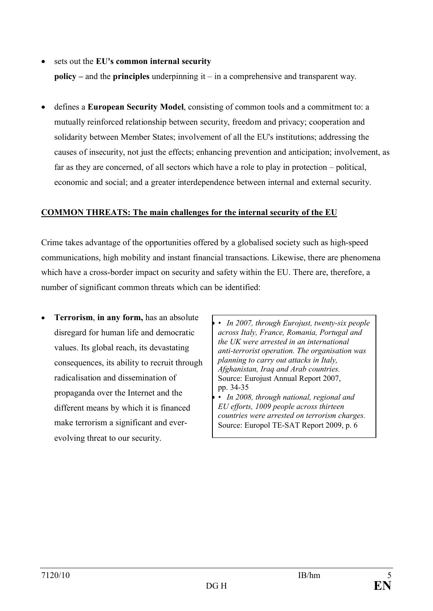#### · sets out the **EU's common internal security**

**policy –** and the **principles** underpinning it – in a comprehensive and transparent way.

· defines a **European Security Model**, consisting of common tools and a commitment to: a mutually reinforced relationship between security, freedom and privacy; cooperation and solidarity between Member States; involvement of all the EU's institutions; addressing the causes of insecurity, not just the effects; enhancing prevention and anticipation; involvement, as far as they are concerned, of all sectors which have a role to play in protection – political, economic and social; and a greater interdependence between internal and external security.

#### **COMMON THREATS: The main challenges for the internal security of the EU**

Crime takes advantage of the opportunities offered by a globalised society such as high-speed communications, high mobility and instant financial transactions. Likewise, there are phenomena which have a cross-border impact on security and safety within the EU. There are, therefore, a number of significant common threats which can be identified:

· **Terrorism**, **in any form,** has an absolute disregard for human life and democratic values. Its global reach, its devastating consequences, its ability to recruit through radicalisation and dissemination of propaganda over the Internet and the different means by which it is financed make terrorism a significant and everevolving threat to our security.

· *• In 2007, through Eurojust, twenty-six people across Italy, France, Romania, Portugal and the UK were arrested in an international anti-terrorist operation. The organisation was planning to carry out attacks in Italy, Afghanistan, Iraq and Arab countries.* Source: Eurojust Annual Report 2007, pp. 34-35

· *• In 2008, through national, regional and EU efforts, 1009 people across thirteen countries were arrested on terrorism charges.* Source: Europol TE-SAT Report 2009, p. 6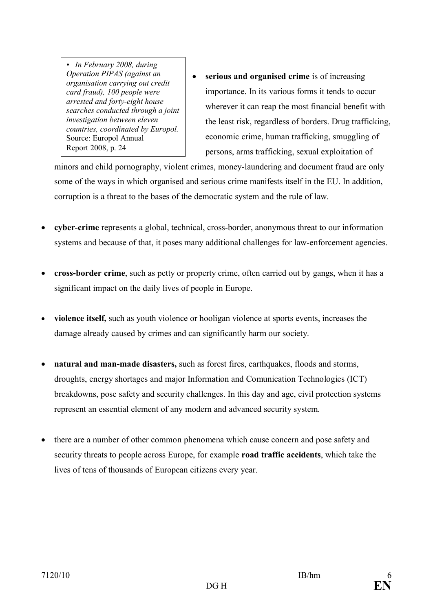*• In February 2008, during Operation PIPAS (against an organisation carrying out credit card fraud), 100 people were arrested and forty-eight house searches conducted through a joint investigation between eleven countries, coordinated by Europol.*  Source: Europol Annual Report 2008, p. 24

· **serious and organised crime** is of increasing importance. In its various forms it tends to occur wherever it can reap the most financial benefit with the least risk, regardless of borders. Drug trafficking, economic crime, human trafficking, smuggling of persons, arms trafficking, sexual exploitation of

minors and child pornography, violent crimes, money-laundering and document fraud are only some of the ways in which organised and serious crime manifests itself in the EU. In addition, corruption is a threat to the bases of the democratic system and the rule of law.

- · **cyber-crime** represents a global, technical, cross-border, anonymous threat to our information systems and because of that, it poses many additional challenges for law-enforcement agencies.
- · **cross-border crime**, such as petty or property crime, often carried out by gangs, when it has a significant impact on the daily lives of people in Europe.
- · **violence itself,** such as youth violence or hooligan violence at sports events, increases the damage already caused by crimes and can significantly harm our society.
- · **natural and man-made disasters,** such as forest fires, earthquakes, floods and storms, droughts, energy shortages and major Information and Comunication Technologies (ICT) breakdowns, pose safety and security challenges. In this day and age, civil protection systems represent an essential element of any modern and advanced security system.
- there are a number of other common phenomena which cause concern and pose safety and security threats to people across Europe, for example **road traffic accidents**, which take the lives of tens of thousands of European citizens every year.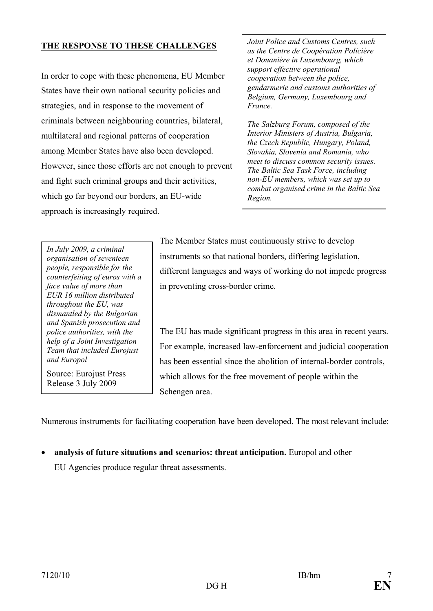### **THE RESPONSE TO THESE CHALLENGES**

In order to cope with these phenomena, EU Member States have their own national security policies and strategies, and in response to the movement of criminals between neighbouring countries, bilateral, multilateral and regional patterns of cooperation among Member States have also been developed. However, since those efforts are not enough to prevent and fight such criminal groups and their activities, which go far beyond our borders, an EU-wide approach is increasingly required.

*Joint Police and Customs Centres, such as the Centre de Coopération Policière et Douanière in Luxembourg, which support effective operational cooperation between the police, gendarmerie and customs authorities of Belgium, Germany, Luxembourg and France.* 

*The Salzburg Forum, composed of the Interior Ministers of Austria, Bulgaria, the Czech Republic, Hungary, Poland, Slovakia, Slovenia and Romania, who meet to discuss common security issues. The Baltic Sea Task Force, including non-EU members, which was set up to combat organised crime in the Baltic Sea Region.*

*In July 2009, a criminal organisation of seventeen people, responsible for the counterfeiting of euros with a face value of more than EUR 16 million distributed throughout the EU, was dismantled by the Bulgarian and Spanish prosecution and police authorities, with the help of a Joint Investigation Team that included Eurojust and Europol*

Source: Eurojust Press Release 3 July 2009

The Member States must continuously strive to develop instruments so that national borders, differing legislation, different languages and ways of working do not impede progress in preventing cross-border crime.

The EU has made significant progress in this area in recent years. For example, increased law-enforcement and judicial cooperation has been essential since the abolition of internal-border controls, which allows for the free movement of people within the Schengen area.

Numerous instruments for facilitating cooperation have been developed. The most relevant include:

· **analysis of future situations and scenarios: threat anticipation.** Europol and other

EU Agencies produce regular threat assessments.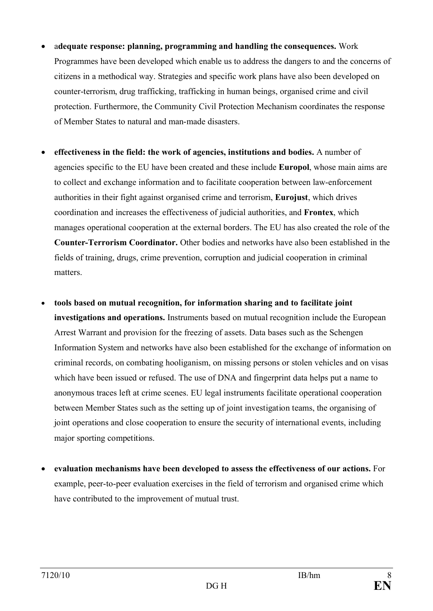- · a**dequate response: planning, programming and handling the consequences.** Work Programmes have been developed which enable us to address the dangers to and the concerns of citizens in a methodical way. Strategies and specific work plans have also been developed on counter-terrorism, drug trafficking, trafficking in human beings, organised crime and civil protection. Furthermore, the Community Civil Protection Mechanism coordinates the response of Member States to natural and man-made disasters.
- · **effectiveness in the field: the work of agencies, institutions and bodies.** A number of agencies specific to the EU have been created and these include **Europol**, whose main aims are to collect and exchange information and to facilitate cooperation between law-enforcement authorities in their fight against organised crime and terrorism, **Eurojust**, which drives coordination and increases the effectiveness of judicial authorities, and **Frontex**, which manages operational cooperation at the external borders. The EU has also created the role of the **Counter-Terrorism Coordinator.** Other bodies and networks have also been established in the fields of training, drugs, crime prevention, corruption and judicial cooperation in criminal matters.
- · **tools based on mutual recognition, for information sharing and to facilitate joint investigations and operations.** Instruments based on mutual recognition include the European Arrest Warrant and provision for the freezing of assets. Data bases such as the Schengen Information System and networks have also been established for the exchange of information on criminal records, on combating hooliganism, on missing persons or stolen vehicles and on visas which have been issued or refused. The use of DNA and fingerprint data helps put a name to anonymous traces left at crime scenes. EU legal instruments facilitate operational cooperation between Member States such as the setting up of joint investigation teams, the organising of joint operations and close cooperation to ensure the security of international events, including major sporting competitions.
- · **evaluation mechanisms have been developed to assess the effectiveness of our actions.** For example, peer-to-peer evaluation exercises in the field of terrorism and organised crime which have contributed to the improvement of mutual trust.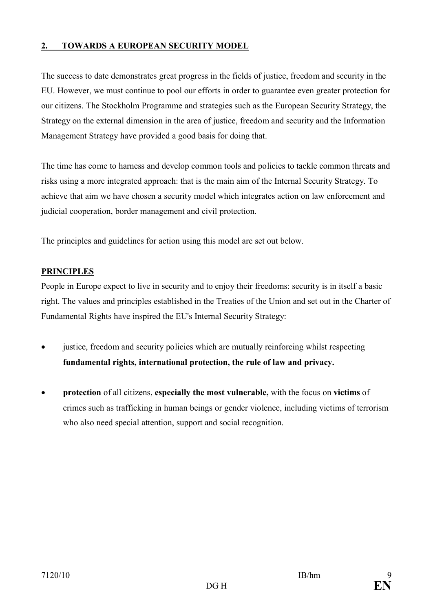## **2. TOWARDS A EUROPEAN SECURITY MODEL**

The success to date demonstrates great progress in the fields of justice, freedom and security in the EU. However, we must continue to pool our efforts in order to guarantee even greater protection for our citizens. The Stockholm Programme and strategies such as the European Security Strategy, the Strategy on the external dimension in the area of justice, freedom and security and the Information Management Strategy have provided a good basis for doing that.

The time has come to harness and develop common tools and policies to tackle common threats and risks using a more integrated approach: that is the main aim of the Internal Security Strategy. To achieve that aim we have chosen a security model which integrates action on law enforcement and judicial cooperation, border management and civil protection.

The principles and guidelines for action using this model are set out below.

## **PRINCIPLES**

People in Europe expect to live in security and to enjoy their freedoms: security is in itself a basic right. The values and principles established in the Treaties of the Union and set out in the Charter of Fundamental Rights have inspired the EU's Internal Security Strategy:

- justice, freedom and security policies which are mutually reinforcing whilst respecting **fundamental rights, international protection, the rule of law and privacy.**
- · **protection** of all citizens, **especially the most vulnerable,** with the focus on **victims** of crimes such as trafficking in human beings or gender violence, including victims of terrorism who also need special attention, support and social recognition.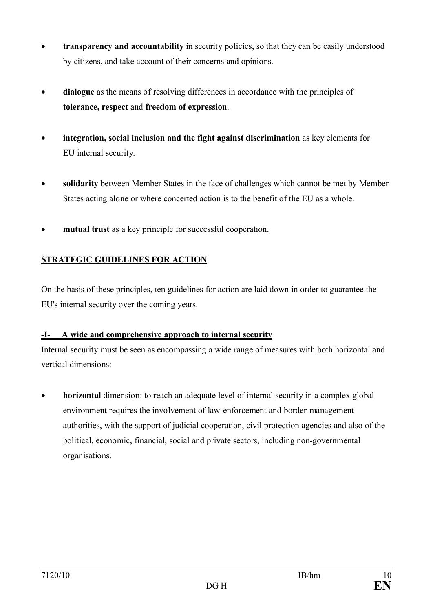- · **transparency and accountability** in security policies, so that they can be easily understood by citizens, and take account of their concerns and opinions.
- · **dialogue** as the means of resolving differences in accordance with the principles of **tolerance, respect** and **freedom of expression**.
- integration, social inclusion and the fight against discrimination as key elements for EU internal security.
- · **solidarity** between Member States in the face of challenges which cannot be met by Member States acting alone or where concerted action is to the benefit of the EU as a whole.
- mutual trust as a key principle for successful cooperation.

# **STRATEGIC GUIDELINES FOR ACTION**

On the basis of these principles, ten guidelines for action are laid down in order to guarantee the EU's internal security over the coming years.

## **-I- A wide and comprehensive approach to internal security**

Internal security must be seen as encompassing a wide range of measures with both horizontal and vertical dimensions:

• **horizontal** dimension: to reach an adequate level of internal security in a complex global environment requires the involvement of law-enforcement and border-management authorities, with the support of judicial cooperation, civil protection agencies and also of the political, economic, financial, social and private sectors, including non-governmental organisations.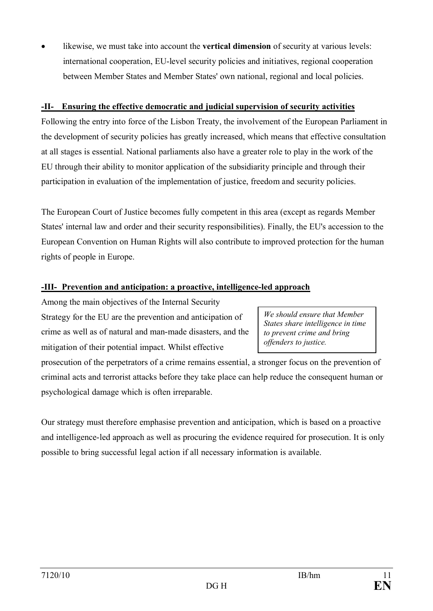likewise, we must take into account the **vertical dimension** of security at various levels: international cooperation, EU-level security policies and initiatives, regional cooperation between Member States and Member States' own national, regional and local policies.

#### **-II- Ensuring the effective democratic and judicial supervision of security activities**

Following the entry into force of the Lisbon Treaty, the involvement of the European Parliament in the development of security policies has greatly increased, which means that effective consultation at all stages is essential. National parliaments also have a greater role to play in the work of the EU through their ability to monitor application of the subsidiarity principle and through their participation in evaluation of the implementation of justice, freedom and security policies.

The European Court of Justice becomes fully competent in this area (except as regards Member States' internal law and order and their security responsibilities). Finally, the EU's accession to the European Convention on Human Rights will also contribute to improved protection for the human rights of people in Europe.

## **-III- Prevention and anticipation: a proactive, intelligence-led approach**

Among the main objectives of the Internal Security Strategy for the EU are the prevention and anticipation of crime as well as of natural and man-made disasters, and the mitigation of their potential impact. Whilst effective

prosecution of the perpetrators of a crime remains essential, a stronger focus on the prevention of criminal acts and terrorist attacks before they take place can help reduce the consequent human or psychological damage which is often irreparable.

Our strategy must therefore emphasise prevention and anticipation, which is based on a proactive and intelligence-led approach as well as procuring the evidence required for prosecution. It is only possible to bring successful legal action if all necessary information is available.

*We should ensure that Member States share intelligence in time to prevent crime and bring offenders to justice.*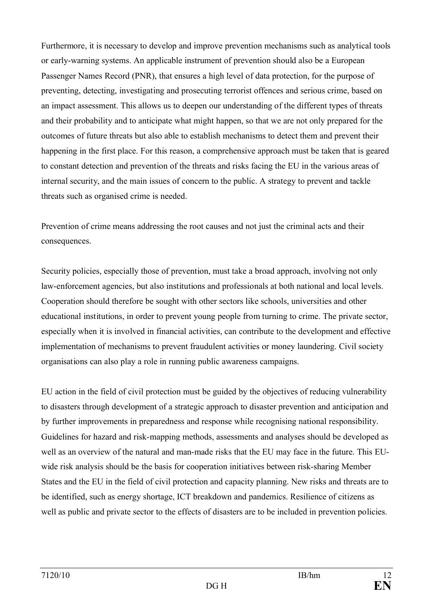Furthermore, it is necessary to develop and improve prevention mechanisms such as analytical tools or early-warning systems. An applicable instrument of prevention should also be a European Passenger Names Record (PNR), that ensures a high level of data protection, for the purpose of preventing, detecting, investigating and prosecuting terrorist offences and serious crime, based on an impact assessment. This allows us to deepen our understanding of the different types of threats and their probability and to anticipate what might happen, so that we are not only prepared for the outcomes of future threats but also able to establish mechanisms to detect them and prevent their happening in the first place. For this reason, a comprehensive approach must be taken that is geared to constant detection and prevention of the threats and risks facing the EU in the various areas of internal security, and the main issues of concern to the public. A strategy to prevent and tackle threats such as organised crime is needed.

Prevention of crime means addressing the root causes and not just the criminal acts and their consequences.

Security policies, especially those of prevention, must take a broad approach, involving not only law-enforcement agencies, but also institutions and professionals at both national and local levels. Cooperation should therefore be sought with other sectors like schools, universities and other educational institutions, in order to prevent young people from turning to crime. The private sector, especially when it is involved in financial activities, can contribute to the development and effective implementation of mechanisms to prevent fraudulent activities or money laundering. Civil society organisations can also play a role in running public awareness campaigns.

EU action in the field of civil protection must be guided by the objectives of reducing vulnerability to disasters through development of a strategic approach to disaster prevention and anticipation and by further improvements in preparedness and response while recognising national responsibility. Guidelines for hazard and risk-mapping methods, assessments and analyses should be developed as well as an overview of the natural and man-made risks that the EU may face in the future. This EUwide risk analysis should be the basis for cooperation initiatives between risk-sharing Member States and the EU in the field of civil protection and capacity planning. New risks and threats are to be identified, such as energy shortage, ICT breakdown and pandemics. Resilience of citizens as well as public and private sector to the effects of disasters are to be included in prevention policies.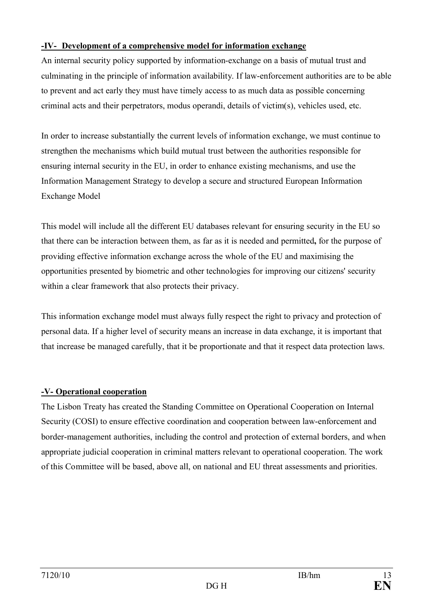### **-IV- Development of a comprehensive model for information exchange**

An internal security policy supported by information-exchange on a basis of mutual trust and culminating in the principle of information availability. If law-enforcement authorities are to be able to prevent and act early they must have timely access to as much data as possible concerning criminal acts and their perpetrators, modus operandi, details of victim(s), vehicles used, etc.

In order to increase substantially the current levels of information exchange, we must continue to strengthen the mechanisms which build mutual trust between the authorities responsible for ensuring internal security in the EU, in order to enhance existing mechanisms, and use the Information Management Strategy to develop a secure and structured European Information Exchange Model

This model will include all the different EU databases relevant for ensuring security in the EU so that there can be interaction between them, as far as it is needed and permitted**,** for the purpose of providing effective information exchange across the whole of the EU and maximising the opportunities presented by biometric and other technologies for improving our citizens' security within a clear framework that also protects their privacy.

This information exchange model must always fully respect the right to privacy and protection of personal data. If a higher level of security means an increase in data exchange, it is important that that increase be managed carefully, that it be proportionate and that it respect data protection laws.

## **-V- Operational cooperation**

The Lisbon Treaty has created the Standing Committee on Operational Cooperation on Internal Security (COSI) to ensure effective coordination and cooperation between law-enforcement and border-management authorities, including the control and protection of external borders, and when appropriate judicial cooperation in criminal matters relevant to operational cooperation. The work of this Committee will be based, above all, on national and EU threat assessments and priorities.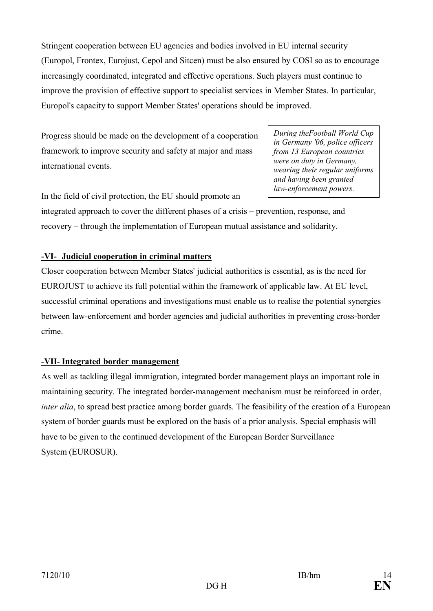Stringent cooperation between EU agencies and bodies involved in EU internal security (Europol, Frontex, Eurojust, Cepol and Sitcen) must be also ensured by COSI so as to encourage increasingly coordinated, integrated and effective operations. Such players must continue to improve the provision of effective support to specialist services in Member States. In particular, Europol's capacity to support Member States' operations should be improved.

Progress should be made on the development of a cooperation framework to improve security and safety at major and mass international events.

In the field of civil protection, the EU should promote an

*During theFootball World Cup in Germany '06, police officers from 13 European countries were on duty in Germany, wearing their regular uniforms and having been granted law-enforcement powers.*

integrated approach to cover the different phases of a crisis – prevention, response, and recovery – through the implementation of European mutual assistance and solidarity.

## **-VI- Judicial cooperation in criminal matters**

Closer cooperation between Member States' judicial authorities is essential, as is the need for EUROJUST to achieve its full potential within the framework of applicable law. At EU level, successful criminal operations and investigations must enable us to realise the potential synergies between law-enforcement and border agencies and judicial authorities in preventing cross-border crime.

# **-VII- Integrated border management**

As well as tackling illegal immigration, integrated border management plays an important role in maintaining security. The integrated border-management mechanism must be reinforced in order, *inter alia*, to spread best practice among border guards. The feasibility of the creation of a European system of border guards must be explored on the basis of a prior analysis. Special emphasis will have to be given to the continued development of the European Border Surveillance System (EUROSUR).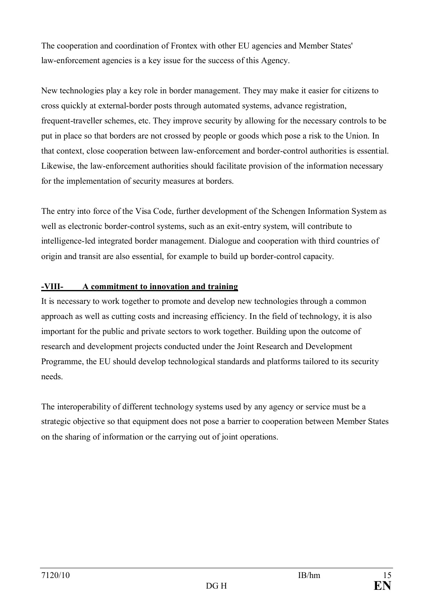The cooperation and coordination of Frontex with other EU agencies and Member States' law-enforcement agencies is a key issue for the success of this Agency.

New technologies play a key role in border management. They may make it easier for citizens to cross quickly at external-border posts through automated systems, advance registration, frequent-traveller schemes, etc. They improve security by allowing for the necessary controls to be put in place so that borders are not crossed by people or goods which pose a risk to the Union. In that context, close cooperation between law-enforcement and border-control authorities is essential. Likewise, the law-enforcement authorities should facilitate provision of the information necessary for the implementation of security measures at borders.

The entry into force of the Visa Code, further development of the Schengen Information System as well as electronic border-control systems, such as an exit-entry system, will contribute to intelligence-led integrated border management. Dialogue and cooperation with third countries of origin and transit are also essential, for example to build up border-control capacity.

### **-VIII- A commitment to innovation and training**

It is necessary to work together to promote and develop new technologies through a common approach as well as cutting costs and increasing efficiency. In the field of technology, it is also important for the public and private sectors to work together. Building upon the outcome of research and development projects conducted under the Joint Research and Development Programme, the EU should develop technological standards and platforms tailored to its security needs.

The interoperability of different technology systems used by any agency or service must be a strategic objective so that equipment does not pose a barrier to cooperation between Member States on the sharing of information or the carrying out of joint operations.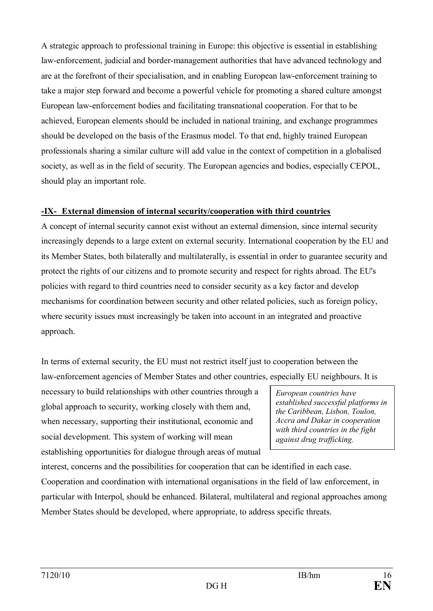A strategic approach to professional training in Europe: this objective is essential in establishing law-enforcement, judicial and border-management authorities that have advanced technology and are at the forefront of their specialisation, and in enabling European law-enforcement training to take a major step forward and become a powerful vehicle for promoting a shared culture amongst European law-enforcement bodies and facilitating transnational cooperation. For that to be achieved, European elements should be included in national training, and exchange programmes should be developed on the basis of the Erasmus model. To that end, highly trained European professionals sharing a similar culture will add value in the context of competition in a globalised society, as well as in the field of security. The European agencies and bodies, especially CEPOL, should play an important role.

### **-IX- External dimension of internal security/cooperation with third countries**

A concept of internal security cannot exist without an external dimension, since internal security increasingly depends to a large extent on external security. International cooperation by the EU and its Member States, both bilaterally and multilaterally, is essential in order to guarantee security and protect the rights of our citizens and to promote security and respect for rights abroad. The EU's policies with regard to third countries need to consider security as a key factor and develop mechanisms for coordination between security and other related policies, such as foreign policy, where security issues must increasingly be taken into account in an integrated and proactive approach.

In terms of external security, the EU must not restrict itself just to cooperation between the law-enforcement agencies of Member States and other countries, especially EU neighbours. It is

necessary to build relationships with other countries through a global approach to security, working closely with them and, when necessary, supporting their institutional, economic and social development. This system of working will mean establishing opportunities for dialogue through areas of mutual

*European countries have established successful platforms in the Caribbean, Lisbon, Toulon, Accra and Dakar in cooperation with third countries in the fight against drug trafficking.*

interest, concerns and the possibilities for cooperation that can be identified in each case. Cooperation and coordination with international organisations in the field of law enforcement, in particular with Interpol, should be enhanced. Bilateral, multilateral and regional approaches among Member States should be developed, where appropriate, to address specific threats.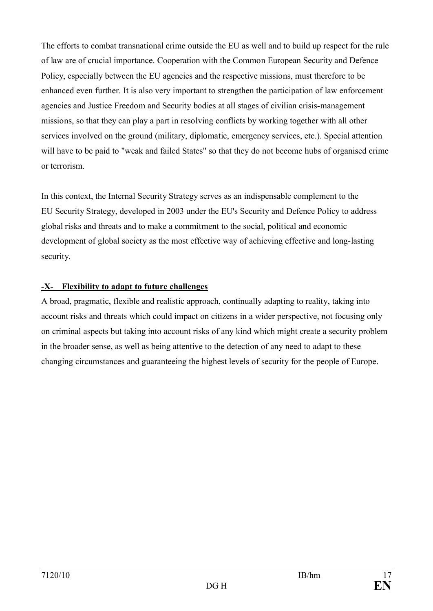The efforts to combat transnational crime outside the EU as well and to build up respect for the rule of law are of crucial importance. Cooperation with the Common European Security and Defence Policy, especially between the EU agencies and the respective missions, must therefore to be enhanced even further. It is also very important to strengthen the participation of law enforcement agencies and Justice Freedom and Security bodies at all stages of civilian crisis-management missions, so that they can play a part in resolving conflicts by working together with all other services involved on the ground (military, diplomatic, emergency services, etc.). Special attention will have to be paid to "weak and failed States" so that they do not become hubs of organised crime or terrorism.

In this context, the Internal Security Strategy serves as an indispensable complement to the EU Security Strategy, developed in 2003 under the EU's Security and Defence Policy to address global risks and threats and to make a commitment to the social, political and economic development of global society as the most effective way of achieving effective and long-lasting security.

### **-X- Flexibility to adapt to future challenges**

A broad, pragmatic, flexible and realistic approach, continually adapting to reality, taking into account risks and threats which could impact on citizens in a wider perspective, not focusing only on criminal aspects but taking into account risks of any kind which might create a security problem in the broader sense, as well as being attentive to the detection of any need to adapt to these changing circumstances and guaranteeing the highest levels of security for the people of Europe.